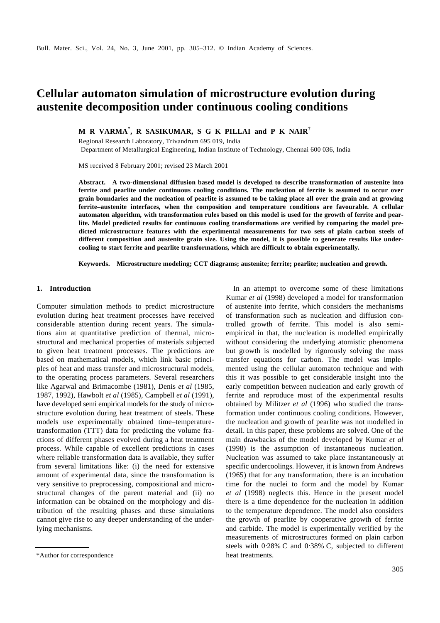# **Cellular automaton simulation of microstructure evolution during austenite decomposition under continuous cooling conditions**

**M R VARMA\* , R SASIKUMAR, S G K PILLAI and P K NAIR†**

Regional Research Laboratory, Trivandrum 695 019, India

Department of Metallurgical Engineering, Indian Institute of Technology, Chennai 600 036, India

MS received 8 February 2001; revised 23 March 2001

**Abstract. A two-dimensional diffusion based model is developed to describe transformation of austenite into ferrite and pearlite under continuous cooling conditions***.* **The nucleation of ferrite is assumed to occur over grain boundaries and the nucleation of pearlite is assumed to be taking place all over the grain and at growing ferrite–austenite interfaces***,* **when the composition and temperature conditions are favourable***.* **A cellular automaton algorithm***,* **with transformation rules based on this model is used for the growth of ferrite and pearlite***.* **Model predicted results for continuous cooling transformations are verified by comparing the model predicted microstructure features with the experimental measurements for two sets of plain carbon steels of different composition and austenite grain size***.* **Using the model***,* **it is possible to generate results like undercooling to start ferrite and pearlite transformations***,* **which are difficult to obtain experimentally***.*

**Keywords. Microstructure modeling; CCT diagrams; austenite; ferrite; pearlite; nucleation and growth.**

# **1. Introduction**

Computer simulation methods to predict microstructure evolution during heat treatment processes have received considerable attention during recent years. The simulations aim at quantitative prediction of thermal, microstructural and mechanical properties of materials subjected to given heat treatment processes. The predictions are based on mathematical models, which link basic principles of heat and mass transfer and microstructural models, to the operating process parameters. Several researchers like Agarwal and Brimacombe (1981), Denis *et al* (1985, 1987, 1992), Hawbolt *et al* (1985), Campbell *et al* (1991), have developed semi empirical models for the study of microstructure evolution during heat treatment of steels. These models use experimentally obtained time–temperaturetransformation (TTT) data for predicting the volume fractions of different phases evolved during a heat treatment process. While capable of excellent predictions in cases where reliable transformation data is available, they suffer from several limitations like: (i) the need for extensive amount of experimental data, since the transformation is very sensitive to preprocessing, compositional and microstructural changes of the parent material and (ii) no information can be obtained on the morphology and distribution of the resulting phases and these simulations cannot give rise to any deeper understanding of the underlying mechanisms.

In an attempt to overcome some of these limitations Kumar *et al* (1998) developed a model for transformation of austenite into ferrite, which considers the mechanisms of transformation such as nucleation and diffusion controlled growth of ferrite. This model is also semiempirical in that, the nucleation is modelled empirically without considering the underlying atomistic phenomena but growth is modelled by rigorously solving the mass transfer equations for carbon. The model was implemented using the cellular automaton technique and with this it was possible to get considerable insight into the early competition between nucleation and early growth of ferrite and reproduce most of the experimental results obtained by Militzer *et al* (1996) who studied the transformation under continuous cooling conditions. However, the nucleation and growth of pearlite was not modelled in detail. In this paper, these problems are solved. One of the main drawbacks of the model developed by Kumar *et al* (1998) is the assumption of instantaneous nucleation. Nucleation was assumed to take place instantaneously at specific undercoolings. However, it is known from Andrews (1965) that for any transformation, there is an incubation time for the nuclei to form and the model by Kumar *et al* (1998) neglects this. Hence in the present model there is a time dependence for the nucleation in addition to the temperature dependence. The model also considers the growth of pearlite by cooperative growth of ferrite and carbide. The model is experimentally verified by the measurements of microstructures formed on plain carbon steels with 0⋅28% C and 0⋅38% C, subjected to different

<sup>\*</sup>Author for correspondence heat treatments.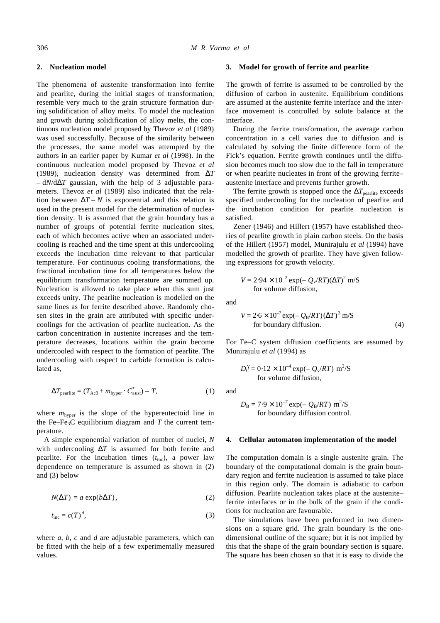## **2. Nucleation model**

The phenomena of austenite transformation into ferrite and pearlite, during the initial stages of transformation, resemble very much to the grain structure formation during solidification of alloy melts. To model the nucleation and growth during solidification of alloy melts, the continuous nucleation model proposed by Thevoz *et al* (1989) was used successfully. Because of the similarity between the processes, the same model was attempted by the authors in an earlier paper by Kumar *et al* (1998). In the continuous nucleation model proposed by Thevoz *et al* (1989), nucleation density was determined from Δ*T*  $-dN/d\Delta T$  gaussian, with the help of 3 adjustable parameters. Thevoz *et al* (1989) also indicated that the relation between  $\Delta T - N$  is exponential and this relation is used in the present model for the determination of nucleation density. It is assumed that the grain boundary has a number of groups of potential ferrite nucleation sites, each of which becomes active when an associated undercooling is reached and the time spent at this undercooling exceeds the incubation time relevant to that particular temperature. For continuous cooling transformations, the fractional incubation time for all temperatures below the equilibrium transformation temperature are summed up. Nucleation is allowed to take place when this sum just exceeds unity. The pearlite nucleation is modelled on the same lines as for ferrite described above. Randomly chosen sites in the grain are attributed with specific undercoolings for the activation of pearlite nucleation. As the carbon concentration in austenite increases and the temperature decreases, locations within the grain become undercooled with respect to the formation of pearlite. The undercooling with respect to carbide formation is calculated as,

$$
\Delta T_{\text{parallel}} = (T_{\text{Ac3}} + m_{\text{hyper}} \cdot C_{\text{aust}}^*) - T,\tag{1}
$$

where  $m_{\text{hyper}}$  is the slope of the hypereutectoid line in the Fe–Fe<sub>3</sub>C equilibrium diagram and  $T$  the current temperature.

A simple exponential variation of number of nuclei, *N* with undercooling  $\Delta T$  is assumed for both ferrite and pearlite. For the incubation times  $(t_{inc})$ , a power law dependence on temperature is assumed as shown in (2) and (3) below

$$
N(\Delta T) = a \exp(b\Delta T), \tag{2}
$$

$$
t_{\rm inc} = c(T)^d,\tag{3}
$$

where *a*, *b*, *c* and *d* are adjustable parameters, which can be fitted with the help of a few experimentally measured values.

## **3. Model for growth of ferrite and pearlite**

The growth of ferrite is assumed to be controlled by the diffusion of carbon in austenite. Equilibrium conditions are assumed at the austenite ferrite interface and the interface movement is controlled by solute balance at the interface.

During the ferrite transformation, the average carbon concentration in a cell varies due to diffusion and is calculated by solving the finite difference form of the Fick's equation. Ferrite growth continues until the diffusion becomes much too slow due to the fall in temperature or when pearlite nucleates in front of the growing ferrite– austenite interface and prevents further growth.

The ferrite growth is stopped once the  $\Delta T_{\text{parallel}}$  exceeds specified undercooling for the nucleation of pearlite and the incubation condition for pearlite nucleation is satisfied.

Zener (1946) and Hillert (1957) have established theories of pearlite growth in plain carbon steels. On the basis of the Hillert (1957) model, Munirajulu *et al* (1994) have modelled the growth of pearlite. They have given following expressions for growth velocity.

$$
V = 2.94 \times 10^{-2} \exp(-Q_v/RT)(\Delta T)^2
$$
 m/S  
for volume diffusion,

and

$$
V = 2.6 \times 10^{-7} \exp(-Q_{\text{B}}/RT) (\Delta T)^{3} \text{ m/S}
$$
  
for boundary diffusion. (4)

For Fe–C system diffusion coefficients are assumed by Munirajulu *et al* (1994) as

$$
D_{\rm C}^{\gamma} = 0.12 \times 10^{-4} \exp(-Q_{\rm v}/RT) \text{ m}^2/\text{S}
$$
  
for volume diffusion,

and

$$
D_{\rm B} = 7.9 \times 10^{-7} \exp(-Q_{\rm B}/RT) \text{ m}^2/\text{S}
$$
  
for boundary diffusion control.

#### **4. Cellular automaton implementation of the model**

The computation domain is a single austenite grain. The boundary of the computational domain is the grain boundary region and ferrite nucleation is assumed to take place in this region only. The domain is adiabatic to carbon diffusion. Pearlite nucleation takes place at the austenite– ferrite interfaces or in the bulk of the grain if the conditions for nucleation are favourable.

The simulations have been performed in two dimensions on a square grid. The grain boundary is the onedimensional outline of the square; but it is not implied by this that the shape of the grain boundary section is square. The square has been chosen so that it is easy to divide the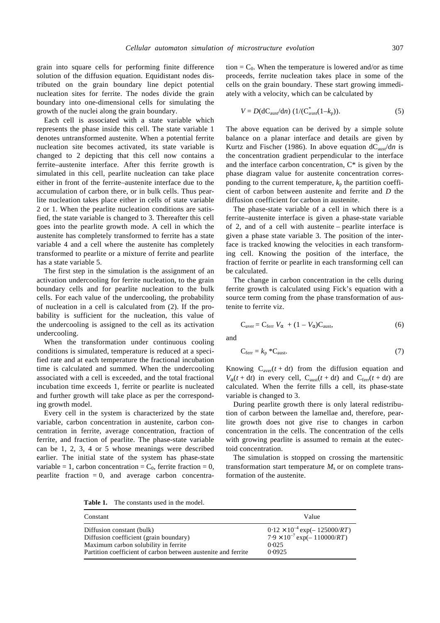grain into square cells for performing finite difference solution of the diffusion equation. Equidistant nodes distributed on the grain boundary line depict potential nucleation sites for ferrite. The nodes divide the grain boundary into one-dimensional cells for simulating the growth of the nuclei along the grain boundary.

Each cell is associated with a state variable which represents the phase inside this cell. The state variable 1 denotes untransformed austenite. When a potential ferrite nucleation site becomes activated, its state variable is changed to 2 depicting that this cell now contains a ferrite–austenite interface. After this ferrite growth is simulated in this cell, pearlite nucleation can take place either in front of the ferrite–austenite interface due to the accumulation of carbon there, or in bulk cells. Thus pearlite nucleation takes place either in cells of state variable 2 or 1. When the pearlite nucleation conditions are satisfied, the state variable is changed to 3. Thereafter this cell goes into the pearlite growth mode. A cell in which the austenite has completely transformed to ferrite has a state variable 4 and a cell where the austenite has completely transformed to pearlite or a mixture of ferrite and pearlite has a state variable 5.

The first step in the simulation is the assignment of an activation undercooling for ferrite nucleation, to the grain boundary cells and for pearlite nucleation to the bulk cells. For each value of the undercooling, the probability of nucleation in a cell is calculated from (2). If the probability is sufficient for the nucleation, this value of the undercooling is assigned to the cell as its activation undercooling.

When the transformation under continuous cooling conditions is simulated, temperature is reduced at a specified rate and at each temperature the fractional incubation time is calculated and summed. When the undercooling associated with a cell is exceeded, and the total fractional incubation time exceeds 1, ferrite or pearlite is nucleated and further growth will take place as per the corresponding growth model.

Every cell in the system is characterized by the state variable, carbon concentration in austenite, carbon concentration in ferrite, average concentration, fraction of ferrite, and fraction of pearlite. The phase-state variable can be 1, 2, 3, 4 or 5 whose meanings were described earlier. The initial state of the system has phase-state variable = 1, carbon concentration =  $C_0$ , ferrite fraction = 0, pearlite fraction  $= 0$ , and average carbon concentration =  $C_0$ . When the temperature is lowered and/or as time proceeds, ferrite nucleation takes place in some of the cells on the grain boundary. These start growing immediately with a velocity, which can be calculated by

$$
V = D(dC_{\text{aust}}/dn) (1/(C_{\text{aust}}^*(1-k_p)).
$$
 (5)

The above equation can be derived by a simple solute balance on a planar interface and details are given by Kurtz and Fischer (1986). In above equation  $dC<sub>anst</sub>/dn$  is the concentration gradient perpendicular to the interface and the interface carbon concentration,  $C^*$  is given by the phase diagram value for austenite concentration corresponding to the current temperature,  $k<sub>p</sub>$  the partition coefficient of carbon between austenite and ferrite and *D* the diffusion coefficient for carbon in austenite.

The phase-state variable of a cell in which there is a ferrite–austenite interface is given a phase-state variable of 2, and of a cell with austenite – pearlite interface is given a phase state variable 3. The position of the interface is tracked knowing the velocities in each transforming cell. Knowing the position of the interface, the fraction of ferrite or pearlite in each transforming cell can be calculated.

The change in carbon concentration in the cells during ferrite growth is calculated using Fick's equation with a source term coming from the phase transformation of austenite to ferrite viz.

$$
C_{\text{aver}} = C_{\text{ferr}} V_a + (1 - V_a) C_{\text{aust}},\tag{6}
$$

and

$$
C_{\text{ferr}} = k_{\text{p}} \, {}^*C_{\text{aust}}.
$$

Knowing  $C_{\text{aver}}(t + dt)$  from the diffusion equation and  $V_a(t + dt)$  in every cell,  $C_{\text{aust}}(t + dt)$  and  $C_{\text{ferr}}(t + dt)$  are calculated. When the ferrite fills a cell, its phase-state variable is changed to 3.

During pearlite growth there is only lateral redistribution of carbon between the lamellae and, therefore, pearlite growth does not give rise to changes in carbon concentration in the cells. The concentration of the cells with growing pearlite is assumed to remain at the eutectoid concentration.

The simulation is stopped on crossing the martensitic transformation start temperature  $M<sub>s</sub>$  or on complete transformation of the austenite.

Table 1. The constants used in the model.

| Constant                                                                                                                                                                     | Value                                                                                                                  |
|------------------------------------------------------------------------------------------------------------------------------------------------------------------------------|------------------------------------------------------------------------------------------------------------------------|
| Diffusion constant (bulk)<br>Diffusion coefficient (grain boundary)<br>Maximum carbon solubility in ferrite<br>Partition coefficient of carbon between austenite and ferrite | $0.12 \times 10^{-4}$ exp(- 125000/ <i>RT</i> )<br>7.9 × 10 <sup>-7</sup> exp(- 110000/ <i>RT</i> )<br>0.025<br>0.0925 |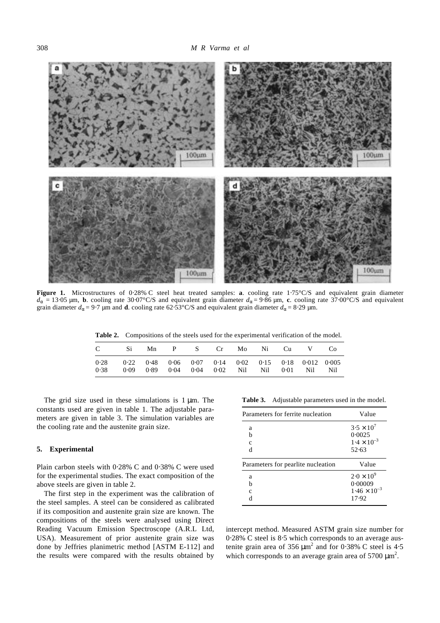

**Figure 1.** Microstructures of 0⋅28% C steel heat treated samples: **a**. cooling rate 1⋅75°C/S and equivalent grain diameter *d<sup>a</sup>* = 13⋅05 µm, **b**. cooling rate 30⋅07°C/S and equivalent grain diameter *d<sup>a</sup>* = 9⋅86 µm, **c**. cooling rate 37⋅00°C/S and equivalent grain diameter *d<sup>a</sup>* = 9⋅7 µm and **d**. cooling rate 62⋅53°C/S and equivalent grain diameter *d<sup>a</sup>* = 8⋅29 µm.

**Table 2.** Compositions of the steels used for the experimental verification of the model.

| C Si Mn P S Cr Mo Ni Cu V Co                                                                                             |  |  |  |  |  |
|--------------------------------------------------------------------------------------------------------------------------|--|--|--|--|--|
| 0.28 0.22 0.48 0.06 0.07 0.14 0.02 0.15 0.18 0.012 0.005<br>0.38  0.09  0.89  0.04  0.04  0.02  Nil  Nil  0.01  Nil  Nil |  |  |  |  |  |

The grid size used in these simulations is  $1 \mu m$ . The constants used are given in table 1. The adjustable parameters are given in table 3. The simulation variables are the cooling rate and the austenite grain size.

# **5. Experimental**

Plain carbon steels with 0⋅28% C and 0⋅38% C were used for the experimental studies. The exact composition of the above steels are given in table 2.

The first step in the experiment was the calibration of the steel samples. A steel can be considered as calibrated if its composition and austenite grain size are known. The compositions of the steels were analysed using Direct Reading Vacuum Emission Spectroscope (A.R.L Ltd, USA). Measurement of prior austenite grain size was done by Jeffries planimetric method [ASTM E-112] and the results were compared with the results obtained by

**Table 3.** Adjustable parameters used in the model.

| Parameters for ferrite nucleation  | Value                       |
|------------------------------------|-----------------------------|
| a<br>h                             | $3.5 \times 10^7$<br>0.0025 |
| c                                  | $1.4 \times 10^{-3}$        |
| d                                  | 52.63                       |
| Parameters for pearlite nucleation | Value                       |
| a                                  | $2.0 \times 10^9$           |
| h                                  | 0.00009                     |
| $\mathbf{c}$                       | $1.46 \times 10^{-3}$       |
|                                    | 17.92                       |
|                                    |                             |

intercept method. Measured ASTM grain size number for 0⋅28% C steel is 8⋅5 which corresponds to an average austenite grain area of 356  $\mu$ m<sup>2</sup> and for 0⋅38% C steel is 4⋅5 which corresponds to an average grain area of 5700  $\mu$ m<sup>2</sup>.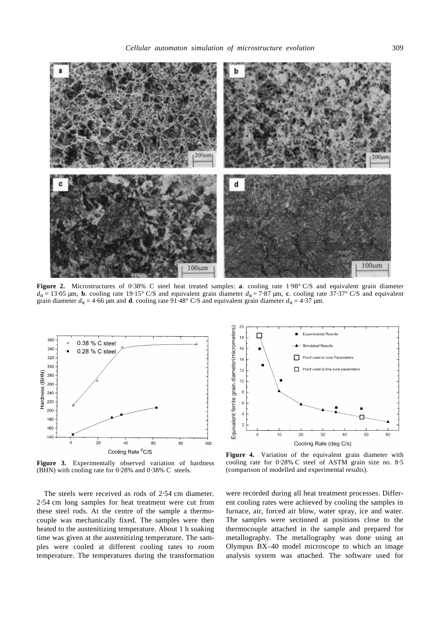

**Figure 2.** Microstructures of 0⋅38% C steel heat treated samples: **a**. cooling rate 1⋅98° C/S and equivalent grain diameter  $d_a = 13.05$  µm, **b**. cooling rate 19⋅15° C/S and equivalent grain diameter  $d_a = 7.87$  µm, **c**. cooling rate 37⋅37° C/S and equivalent grain diameter  $d_a = 4.66 \mu$ m and **d**. cooling rate 91⋅48° C/S and equivalent grain diameter  $d_a = 4.37 \mu$ m.



**Figure 3.** Experimentally observed variation of hardness (BHN) with cooling rate for 0⋅28% and 0⋅38% C steels.

The steels were received as rods of 2⋅54 cm diameter. 2⋅54 cm long samples for heat treatment were cut from these steel rods. At the centre of the sample a thermocouple was mechanically fixed. The samples were then heated to the austenitizing temperature. About 1 h soaking time was given at the austenitizing temperature. The samples were cooled at different cooling rates to room temperature. The temperatures during the transformation



**Figure 4.** Variation of the equivalent grain diameter with cooling rate for 0⋅28% C steel of ASTM grain size no. 8⋅5 (comparison of modelled and experimental results).

were recorded during all heat treatment processes. Different cooling rates were achieved by cooling the samples in furnace, air, forced air blow, water spray, ice and water. The samples were sectioned at positions close to the thermocouple attached in the sample and prepared for metallography. The metallography was done using an Olympus BX–40 model microscope to which an image analysis system was attached. The software used for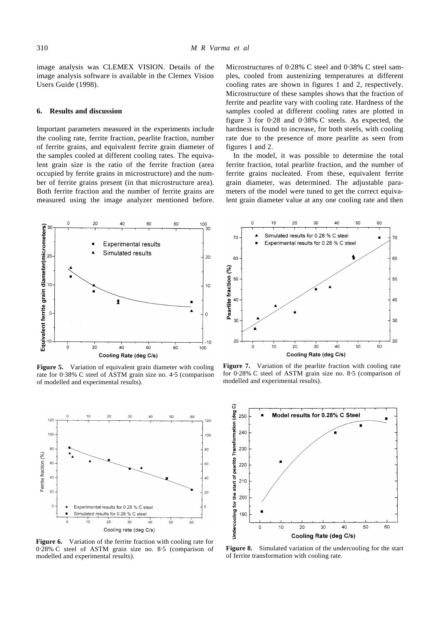image analysis was CLEMEX VISION. Details of the image analysis software is available in the Clemex Vision Users Guide (1998).

#### **6. Results and discussion**

Important parameters measured in the experiments include the cooling rate, ferrite fraction, pearlite fraction, number of ferrite grains, and equivalent ferrite grain diameter of the samples cooled at different cooling rates. The equivalent grain size is the ratio of the ferrite fraction (area occupied by ferrite grains in microstructure) and the number of ferrite grains present (in that microstructure area). Both ferrite fraction and the number of ferrite grains are measured using the image analyzer mentioned before.



Figure 5. Variation of equivalent grain diameter with cooling rate for 0⋅38% C steel of ASTM grain size no. 4⋅5 (comparison of modelled and experimental results).



**Figure 6.** Variation of the ferrite fraction with cooling rate for 0⋅28% C steel of ASTM grain size no. 8⋅5 (comparison of modelled and experimental results).

Microstructures of 0⋅28% C steel and 0⋅38% C steel samples, cooled from austenizing temperatures at different cooling rates are shown in figures 1 and 2, respectively. Microstructure of these samples shows that the fraction of ferrite and pearlite vary with cooling rate. Hardness of the samples cooled at different cooling rates are plotted in figure 3 for 0⋅28 and 0⋅38% C steels. As expected, the hardness is found to increase, for both steels, with cooling rate due to the presence of more pearlite as seen from figures 1 and 2.

In the model, it was possible to determine the total ferrite fraction, total pearlite fraction, and the number of ferrite grains nucleated. From these, equivalent ferrite grain diameter, was determined. The adjustable parameters of the model were tuned to get the correct equivalent grain diameter value at any one cooling rate and then



**Figure 7.** Variation of the pearlite fraction with cooling rate for 0⋅28% C steel of ASTM grain size no. 8⋅5 (comparison of modelled and experimental results).



**Figure 8.** Simulated variation of the undercooling for the start of ferrite transformation with cooling rate.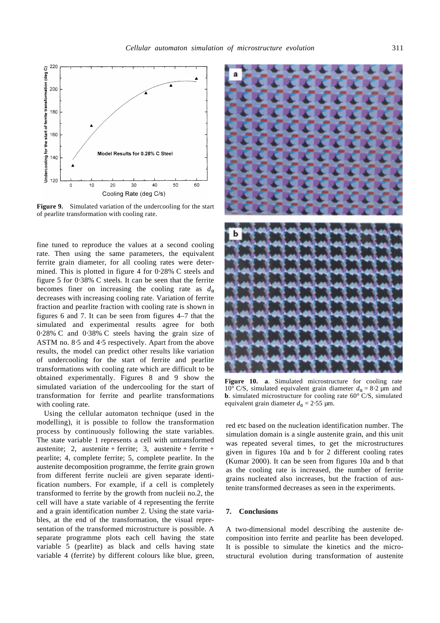

**Figure 9.** Simulated variation of the undercooling for the start of pearlite transformation with cooling rate.

fine tuned to reproduce the values at a second cooling rate. Then using the same parameters, the equivalent ferrite grain diameter, for all cooling rates were determined. This is plotted in figure 4 for 0⋅28% C steels and figure 5 for 0⋅38% C steels. It can be seen that the ferrite becomes finer on increasing the cooling rate as *d<sup>a</sup>* decreases with increasing cooling rate. Variation of ferrite fraction and pearlite fraction with cooling rate is shown in figures 6 and 7. It can be seen from figures 4–7 that the simulated and experimental results agree for both 0⋅28% C and 0⋅38% C steels having the grain size of ASTM no. 8⋅5 and 4⋅5 respectively. Apart from the above results, the model can predict other results like variation of undercooling for the start of ferrite and pearlite transformations with cooling rate which are difficult to be obtained experimentally. Figures 8 and 9 show the simulated variation of the undercooling for the start of transformation for ferrite and pearlite transformations with cooling rate.

Using the cellular automaton technique (used in the modelling), it is possible to follow the transformation process by continuously following the state variables. The state variable 1 represents a cell with untransformed austenite; 2, austenite + ferrite; 3, austenite + ferrite + pearlite; 4, complete ferrite; 5, complete pearlite. In the austenite decomposition programme, the ferrite grain grown from different ferrite nucleii are given separate identification numbers. For example, if a cell is completely transformed to ferrite by the growth from nucleii no.2, the cell will have a state variable of 4 representing the ferrite and a grain identification number 2. Using the state variables, at the end of the transformation, the visual representation of the transformed microstructure is possible. A separate programme plots each cell having the state variable 5 (pearlite) as black and cells having state variable 4 (ferrite) by different colours like blue, green,



**Figure 10. a**. Simulated microstructure for cooling rate 10° C/S, simulated equivalent grain diameter  $d_a = 8.2 \mu m$  and **b**. simulated microstructure for cooling rate 60° C/S, simulated equivalent grain diameter  $d_a = 2.55$  µm.

red etc based on the nucleation identification number. The simulation domain is a single austenite grain, and this unit was repeated several times, to get the microstructures given in figures 10a and b for 2 different cooling rates (Kumar 2000). It can be seen from figures 10a and b that as the cooling rate is increased, the number of ferrite grains nucleated also increases, but the fraction of austenite transformed decreases as seen in the experiments.

## **7. Conclusions**

A two-dimensional model describing the austenite decomposition into ferrite and pearlite has been developed. It is possible to simulate the kinetics and the microstructural evolution during transformation of austenite